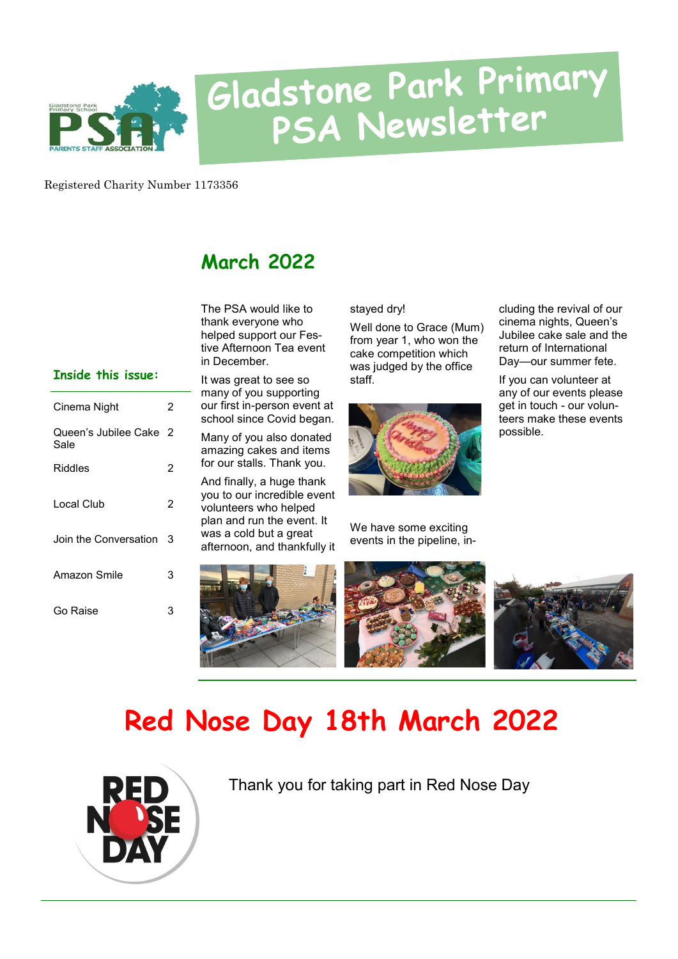

# Gladstone Park Primary<br>PSA Newsletter

Registered Charity Number 1173356

#### **March 2022**

The PSA would like to thank everyone who helped support our Festive Afternoon Tea event in December.

#### **Inside this issue:**

| Cinema Night                   | 2 |
|--------------------------------|---|
| Queen's Jubilee Cake 2<br>Sale |   |
| Riddles                        | 2 |
| Local Club                     | 2 |
| Join the Conversation          | 3 |
| Amazon Smile                   | 3 |
| Go Raise                       | 3 |

It was great to see so many of you supporting our first in-person event at school since Covid began.

Many of you also donated amazing cakes and items for our stalls. Thank you.

And finally, a huge thank you to our incredible event volunteers who helped plan and run the event. It was a cold but a great afternoon, and thankfully it

stayed dry!

Well done to Grace (Mum) from year 1, who won the cake competition which was judged by the office staff.



We have some exciting events in the pipeline, in-

cluding the revival of our cinema nights, Queen's Jubilee cake sale and the return of International Day—our summer fete.

If you can volunteer at any of our events please get in touch - our volunteers make these events possible.



## **Red Nose Day 18th March 2022**



Thank you for taking part in Red Nose Day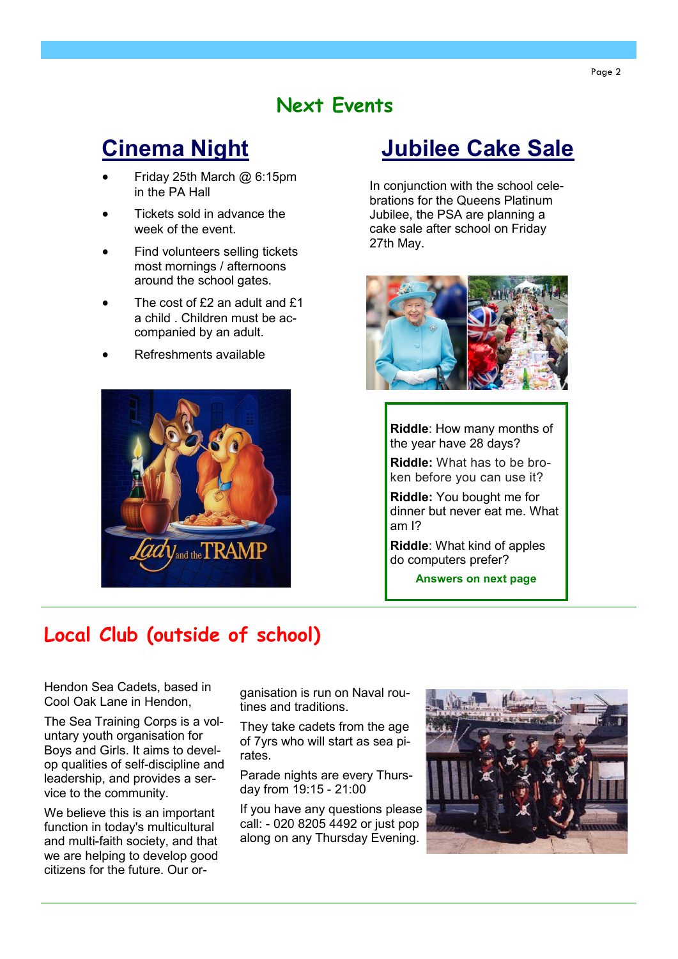#### **Next Events**

### **Cinema Night**

- Friday 25th March @ 6:15pm in the PA Hall
- Tickets sold in advance the week of the event.
- Find volunteers selling tickets most mornings / afternoons around the school gates.
- The cost of £2 an adult and £1 a child . Children must be accompanied by an adult.
- Refreshments available



### **Jubilee Cake Sale**

In conjunction with the school celebrations for the Queens Platinum Jubilee, the PSA are planning a cake sale after school on Friday 27th May.



**Riddle**: How many months of the year have 28 days?

**Riddle:** What has to be broken before you can use it?

**Riddle:** You bought me for dinner but never eat me. What am I?

**Riddle**: What kind of apples do computers prefer?

**Answers on next page**

#### **Local Club (outside of school)**

Hendon Sea Cadets, based in Cool Oak Lane in Hendon,

The Sea Training Corps is a voluntary youth organisation for Boys and Girls. It aims to develop qualities of self-discipline and leadership, and provides a service to the community.

We believe this is an important function in today's multicultural and multi-faith society, and that we are helping to develop good citizens for the future. Our organisation is run on Naval routines and traditions.

They take cadets from the age of 7yrs who will start as sea pirates.

Parade nights are every Thursday from 19:15 - 21:00

If you have any questions please call: - 020 8205 4492 or just pop along on any Thursday Evening.